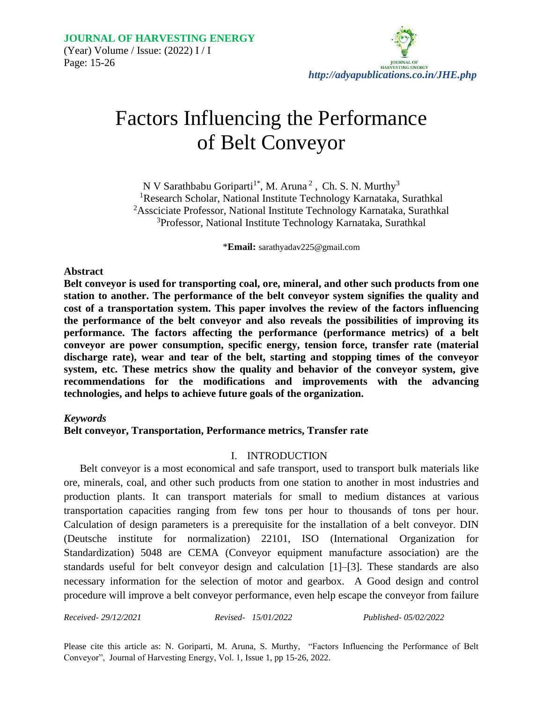

# Factors Influencing the Performance of Belt Conveyor

N V Sarathbabu Goriparti<sup>1\*</sup>, M. Aruna<sup>2</sup>, Ch. S. N. Murthy<sup>3</sup> Research Scholar, National Institute Technology Karnataka, Surathkal Assciciate Professor, National Institute Technology Karnataka, Surathkal Professor, National Institute Technology Karnataka, Surathkal

\***Email:** sarathyadav225@gmail.com

#### **Abstract**

**Belt conveyor is used for transporting coal, ore, mineral, and other such products from one station to another. The performance of the belt conveyor system signifies the quality and cost of a transportation system. This paper involves the review of the factors influencing the performance of the belt conveyor and also reveals the possibilities of improving its performance. The factors affecting the performance (performance metrics) of a belt conveyor are power consumption, specific energy, tension force, transfer rate (material discharge rate), wear and tear of the belt, starting and stopping times of the conveyor system, etc. These metrics show the quality and behavior of the conveyor system, give recommendations for the modifications and improvements with the advancing technologies, and helps to achieve future goals of the organization.** 

#### *Keywords*

#### **Belt conveyor, Transportation, Performance metrics, Transfer rate**

# I. INTRODUCTION

Belt conveyor is a most economical and safe transport, used to transport bulk materials like ore, minerals, coal, and other such products from one station to another in most industries and production plants. It can transport materials for small to medium distances at various transportation capacities ranging from few tons per hour to thousands of tons per hour. Calculation of design parameters is a prerequisite for the installation of a belt conveyor. DIN (Deutsche institute for normalization) 22101, ISO (International Organization for Standardization) 5048 are CEMA (Conveyor equipment manufacture association) are the standards useful for belt conveyor design and calculation [1]–[3]. These standards are also necessary information for the selection of motor and gearbox. A Good design and control procedure will improve a belt conveyor performance, even help escape the conveyor from failure

*Received- 29/12/2021 Revised- 15/01/2022 Published- 05/02/2022*

Please cite this article as: N. Goriparti, M. Aruna, S. Murthy, "Factors Influencing the Performance of Belt Conveyor", Journal of Harvesting Energy, Vol. 1, Issue 1, pp 15-26, 2022.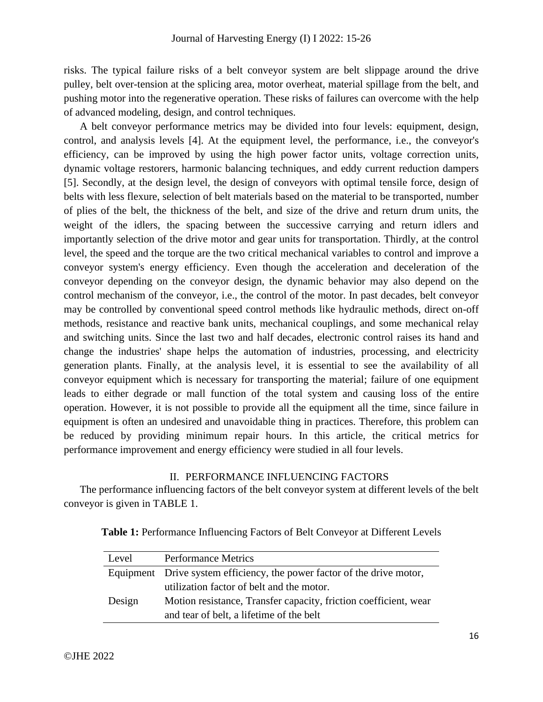risks. The typical failure risks of a belt conveyor system are belt slippage around the drive pulley, belt over-tension at the splicing area, motor overheat, material spillage from the belt, and pushing motor into the regenerative operation. These risks of failures can overcome with the help of advanced modeling, design, and control techniques.

A belt conveyor performance metrics may be divided into four levels: equipment, design, control, and analysis levels [4]. At the equipment level, the performance, i.e., the conveyor's efficiency, can be improved by using the high power factor units, voltage correction units, dynamic voltage restorers, harmonic balancing techniques, and eddy current reduction dampers [5]. Secondly, at the design level, the design of conveyors with optimal tensile force, design of belts with less flexure, selection of belt materials based on the material to be transported, number of plies of the belt, the thickness of the belt, and size of the drive and return drum units, the weight of the idlers, the spacing between the successive carrying and return idlers and importantly selection of the drive motor and gear units for transportation. Thirdly, at the control level, the speed and the torque are the two critical mechanical variables to control and improve a conveyor system's energy efficiency. Even though the acceleration and deceleration of the conveyor depending on the conveyor design, the dynamic behavior may also depend on the control mechanism of the conveyor, i.e., the control of the motor. In past decades, belt conveyor may be controlled by conventional speed control methods like hydraulic methods, direct on-off methods, resistance and reactive bank units, mechanical couplings, and some mechanical relay and switching units. Since the last two and half decades, electronic control raises its hand and change the industries' shape helps the automation of industries, processing, and electricity generation plants. Finally, at the analysis level, it is essential to see the availability of all conveyor equipment which is necessary for transporting the material; failure of one equipment leads to either degrade or mall function of the total system and causing loss of the entire operation. However, it is not possible to provide all the equipment all the time, since failure in equipment is often an undesired and unavoidable thing in practices. Therefore, this problem can be reduced by providing minimum repair hours. In this article, the critical metrics for performance improvement and energy efficiency were studied in all four levels.

## II. PERFORMANCE INFLUENCING FACTORS

The performance influencing factors of the belt conveyor system at different levels of the belt conveyor is given in TABLE 1.

| Table 1: Performance Influencing Factors of Belt Conveyor at Different Levels |  |  |  |  |
|-------------------------------------------------------------------------------|--|--|--|--|
|-------------------------------------------------------------------------------|--|--|--|--|

| Level  | <b>Performance Metrics</b>                                              |
|--------|-------------------------------------------------------------------------|
|        | Equipment Drive system efficiency, the power factor of the drive motor, |
|        | utilization factor of belt and the motor.                               |
| Design | Motion resistance, Transfer capacity, friction coefficient, wear        |
|        | and tear of belt, a lifetime of the belt                                |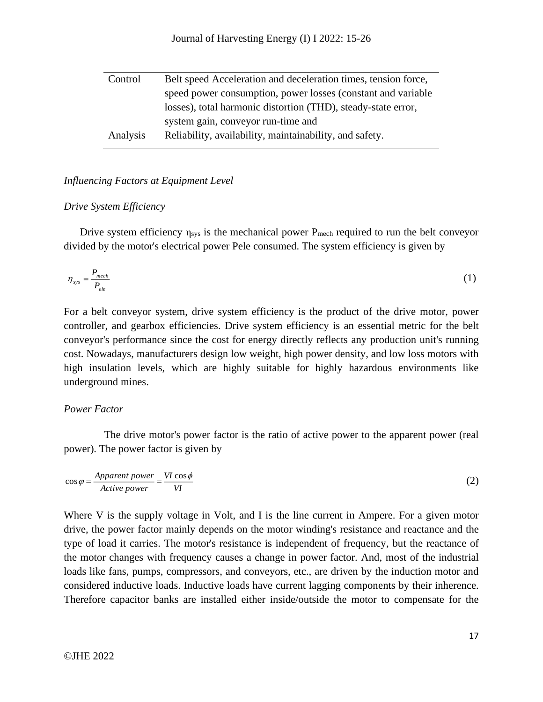| Control  | Belt speed Acceleration and deceleration times, tension force, |
|----------|----------------------------------------------------------------|
|          | speed power consumption, power losses (constant and variable   |
|          | losses), total harmonic distortion (THD), steady-state error,  |
|          | system gain, conveyor run-time and                             |
| Analysis | Reliability, availability, maintainability, and safety.        |

# *Influencing Factors at Equipment Level*

## *Drive System Efficiency*

Drive system efficiency  $\eta_{sys}$  is the mechanical power  $P_{mech}$  required to run the belt conveyor divided by the motor's electrical power Pele consumed. The system efficiency is given by

$$
\eta_{\rm sys} = \frac{P_{mech}}{P_{ele}} \tag{1}
$$

For a belt conveyor system, drive system efficiency is the product of the drive motor, power controller, and gearbox efficiencies. Drive system efficiency is an essential metric for the belt conveyor's performance since the cost for energy directly reflects any production unit's running cost. Nowadays, manufacturers design low weight, high power density, and low loss motors with high insulation levels, which are highly suitable for highly hazardous environments like underground mines.

## *Power Factor*

The drive motor's power factor is the ratio of active power to the apparent power (real power). The power factor is given by

$$
\cos \varphi = \frac{Apparent power}{Active power} = \frac{VI \cos \phi}{VI}
$$
 (2)

Where V is the supply voltage in Volt, and I is the line current in Ampere. For a given motor drive, the power factor mainly depends on the motor winding's resistance and reactance and the type of load it carries. The motor's resistance is independent of frequency, but the reactance of the motor changes with frequency causes a change in power factor. And, most of the industrial loads like fans, pumps, compressors, and conveyors, etc., are driven by the induction motor and considered inductive loads. Inductive loads have current lagging components by their inherence. Therefore capacitor banks are installed either inside/outside the motor to compensate for the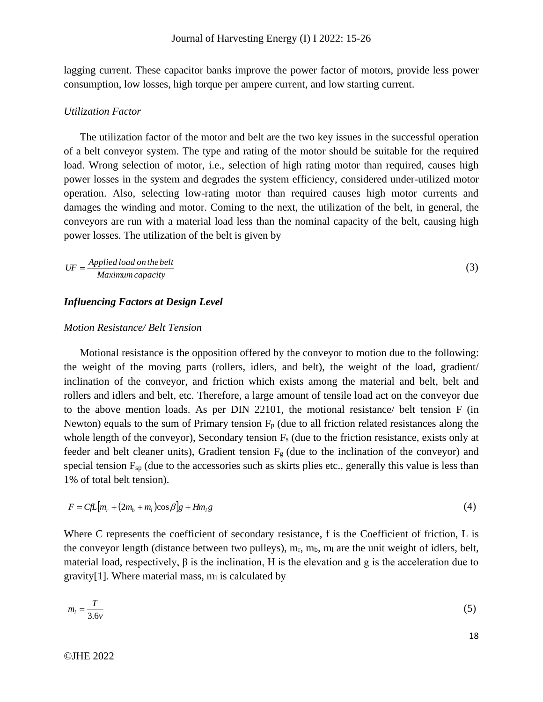lagging current. These capacitor banks improve the power factor of motors, provide less power consumption, low losses, high torque per ampere current, and low starting current.

#### *Utilization Factor*

The utilization factor of the motor and belt are the two key issues in the successful operation of a belt conveyor system. The type and rating of the motor should be suitable for the required load. Wrong selection of motor, i.e., selection of high rating motor than required, causes high power losses in the system and degrades the system efficiency, considered under-utilized motor operation. Also, selecting low-rating motor than required causes high motor currents and damages the winding and motor. Coming to the next, the utilization of the belt, in general, the conveyors are run with a material load less than the nominal capacity of the belt, causing high power losses. The utilization of the belt is given by

$$
UF = \frac{Applied\ load\ on\ the\ belt}{Maximum\ capacity} \tag{3}
$$

## *Influencing Factors at Design Level*

### *Motion Resistance/ Belt Tension*

Motional resistance is the opposition offered by the conveyor to motion due to the following: the weight of the moving parts (rollers, idlers, and belt), the weight of the load, gradient/ inclination of the conveyor, and friction which exists among the material and belt, belt and rollers and idlers and belt, etc. Therefore, a large amount of tensile load act on the conveyor due to the above mention loads. As per DIN 22101, the motional resistance/ belt tension F (in Newton) equals to the sum of Primary tension  $F_p$  (due to all friction related resistances along the whole length of the conveyor), Secondary tension  $F_s$  (due to the friction resistance, exists only at feeder and belt cleaner units), Gradient tension  $F<sub>g</sub>$  (due to the inclination of the conveyor) and special tension  $F_{sp}$  (due to the accessories such as skirts plies etc., generally this value is less than 1% of total belt tension).

$$
F = CfL[m_r + (2m_b + m_l)\cos\beta]g + Hm_l g \tag{4}
$$

Where C represents the coefficient of secondary resistance, f is the Coefficient of friction, L is the conveyor length (distance between two pulleys),  $m_r$ ,  $m_b$ ,  $m_l$  are the unit weight of idlers, belt, material load, respectively, β is the inclination, H is the elevation and g is the acceleration due to gravity[1]. Where material mass,  $m<sub>l</sub>$  is calculated by

$$
m_l = \frac{T}{3.6\nu} \tag{5}
$$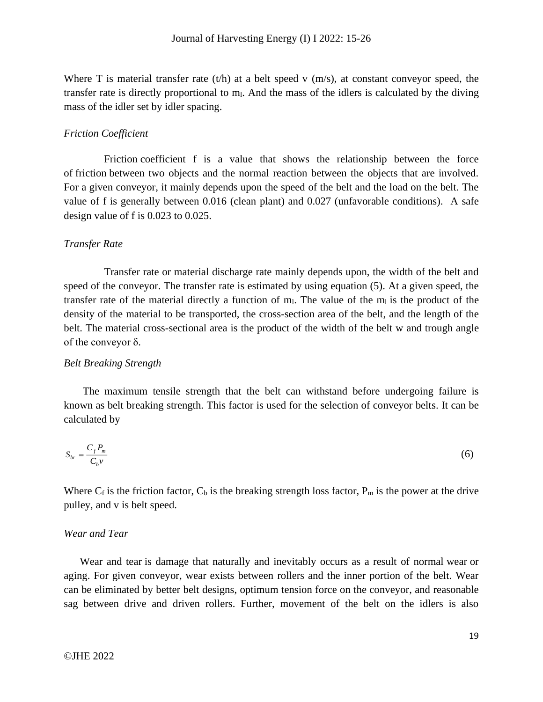Where T is material transfer rate  $(t/h)$  at a belt speed v  $(m/s)$ , at constant conveyor speed, the transfer rate is directly proportional to  $m<sub>l</sub>$ . And the mass of the idlers is calculated by the diving mass of the idler set by idler spacing.

#### *Friction Coefficient*

Friction coefficient f is a value that shows the relationship between the force of friction between two objects and the normal reaction between the objects that are involved. For a given conveyor, it mainly depends upon the speed of the belt and the load on the belt. The value of f is generally between 0.016 (clean plant) and 0.027 (unfavorable conditions). A safe design value of f is 0.023 to 0.025.

#### *Transfer Rate*

Transfer rate or material discharge rate mainly depends upon, the width of the belt and speed of the conveyor. The transfer rate is estimated by using equation (5). At a given speed, the transfer rate of the material directly a function of  $m<sub>l</sub>$ . The value of the  $m<sub>l</sub>$  is the product of the density of the material to be transported, the cross-section area of the belt, and the length of the belt. The material cross-sectional area is the product of the width of the belt w and trough angle of the conveyor  $\delta$ .

#### *Belt Breaking Strength*

The maximum tensile strength that the belt can withstand before undergoing failure is known as belt breaking strength. This factor is used for the selection of conveyor belts. It can be calculated by

$$
S_{br} = \frac{C_f P_m}{C_b v} \tag{6}
$$

Where  $C_f$  is the friction factor,  $C_b$  is the breaking strength loss factor,  $P_m$  is the power at the drive pulley, and v is belt speed.

## *Wear and Tear*

Wear and tear is damage that naturally and inevitably occurs as a result of normal wear or aging. For given conveyor, wear exists between rollers and the inner portion of the belt. Wear can be eliminated by better belt designs, optimum tension force on the conveyor, and reasonable sag between drive and driven rollers. Further, movement of the belt on the idlers is also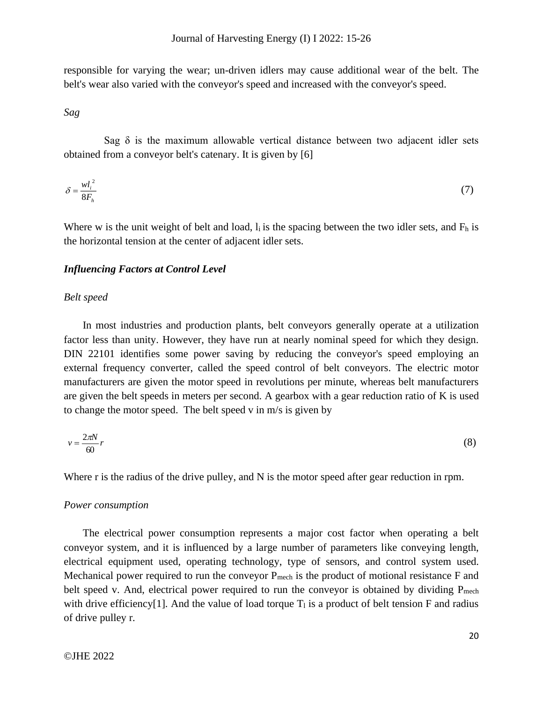responsible for varying the wear; un-driven idlers may cause additional wear of the belt. The belt's wear also varied with the conveyor's speed and increased with the conveyor's speed.

*Sag*

Sag  $\delta$  is the maximum allowable vertical distance between two adjacent idler sets obtained from a conveyor belt's catenary. It is given by [6]

$$
\delta = \frac{wl_i^2}{8F_h} \tag{7}
$$

Where w is the unit weight of belt and load,  $l_i$  is the spacing between the two idler sets, and  $F_h$  is the horizontal tension at the center of adjacent idler sets.

#### *Influencing Factors at Control Level*

#### *Belt speed*

In most industries and production plants, belt conveyors generally operate at a utilization factor less than unity. However, they have run at nearly nominal speed for which they design. DIN 22101 identifies some power saving by reducing the conveyor's speed employing an external frequency converter, called the speed control of belt conveyors. The electric motor manufacturers are given the motor speed in revolutions per minute, whereas belt manufacturers are given the belt speeds in meters per second. A gearbox with a gear reduction ratio of K is used to change the motor speed. The belt speed v in m/s is given by

$$
v = \frac{2\pi N}{60}r\tag{8}
$$

Where r is the radius of the drive pulley, and N is the motor speed after gear reduction in rpm.

#### *Power consumption*

The electrical power consumption represents a major cost factor when operating a belt conveyor system, and it is influenced by a large number of parameters like conveying length, electrical equipment used, operating technology, type of sensors, and control system used. Mechanical power required to run the conveyor  $P_{mech}$  is the product of motional resistance  $F$  and belt speed v. And, electrical power required to run the conveyor is obtained by dividing  $P_{mech}$ with drive efficiency<sup>[1]</sup>. And the value of load torque  $T_1$  is a product of belt tension F and radius of drive pulley r.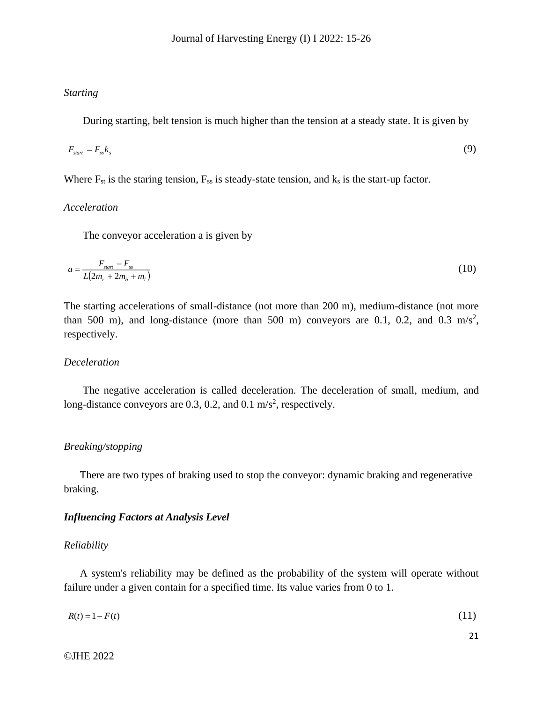## *Starting*

During starting, belt tension is much higher than the tension at a steady state. It is given by

$$
F_{\text{start}} = F_{\text{ss}} k_s \tag{9}
$$

Where  $F_{st}$  is the staring tension,  $F_{ss}$  is steady-state tension, and  $k_s$  is the start-up factor.

# *Acceleration*

The conveyor acceleration a is given by

$$
a = \frac{F_{\text{start}} - F_{\text{ss}}}{L(2m_r + 2m_b + m_l)}
$$
(10)

The starting accelerations of small-distance (not more than 200 m), medium-distance (not more than 500 m), and long-distance (more than 500 m) conveyors are 0.1, 0.2, and 0.3 m/s<sup>2</sup>, respectively.

## *Deceleration*

The negative acceleration is called deceleration. The deceleration of small, medium, and long-distance conveyors are 0.3, 0.2, and 0.1  $\text{m/s}^2$ , respectively.

#### *Breaking/stopping*

There are two types of braking used to stop the conveyor: dynamic braking and regenerative braking.

## *Influencing Factors at Analysis Level*

#### *Reliability*

A system's reliability may be defined as the probability of the system will operate without failure under a given contain for a specified time. Its value varies from 0 to 1.

| $R(t) = 1 - F(t)$ | (11) |  |
|-------------------|------|--|
|                   |      |  |

21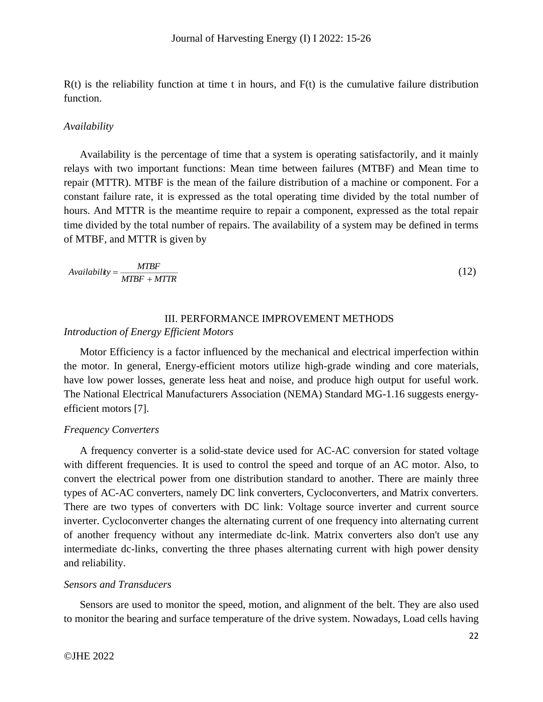$R(t)$  is the reliability function at time t in hours, and  $F(t)$  is the cumulative failure distribution function.

#### *Availability*

Availability is the percentage of time that a system is operating satisfactorily, and it mainly relays with two important functions: Mean time between failures (MTBF) and Mean time to repair (MTTR). MTBF is the mean of the failure distribution of a machine or component. For a constant failure rate, it is expressed as the total operating time divided by the total number of hours. And MTTR is the meantime require to repair a component, expressed as the total repair time divided by the total number of repairs. The availability of a system may be defined in terms of MTBF, and MTTR is given by

$$
Availability = \frac{MTBF}{MTBF + MTTR}
$$
\n(12)

# III. PERFORMANCE IMPROVEMENT METHODS *Introduction of Energy Efficient Motors*

Motor Efficiency is a factor influenced by the mechanical and electrical imperfection within the motor. In general, Energy-efficient motors utilize high-grade winding and core materials, have low power losses, generate less heat and noise, and produce high output for useful work. The National Electrical Manufacturers Association (NEMA) Standard MG-1.16 suggests energyefficient motors [7].

#### *Frequency Converters*

A frequency converter is a solid-state device used for AC-AC conversion for stated voltage with different frequencies. It is used to control the speed and torque of an AC motor. Also, to convert the electrical power from one distribution standard to another. There are mainly three types of AC-AC converters, namely DC link converters, Cycloconverters, and Matrix converters. There are two types of converters with DC link: Voltage source inverter and current source inverter. Cycloconverter changes the alternating current of one frequency into alternating current of another frequency without any intermediate dc-link. Matrix converters also don't use any intermediate dc-links, converting the three phases alternating current with high power density and reliability.

#### *Sensors and Transducers*

Sensors are used to monitor the speed, motion, and alignment of the belt. They are also used to monitor the bearing and surface temperature of the drive system. Nowadays, Load cells having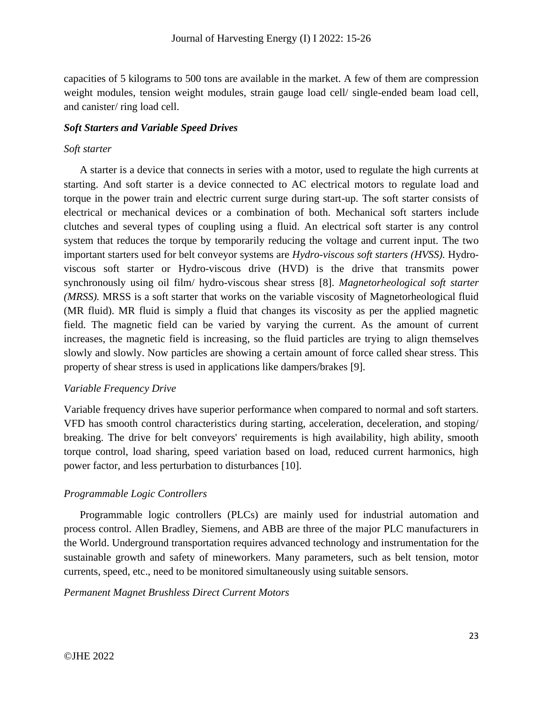capacities of 5 kilograms to 500 tons are available in the market. A few of them are compression weight modules, tension weight modules, strain gauge load cell/ single-ended beam load cell, and canister/ ring load cell.

# *Soft Starters and Variable Speed Drives*

## *Soft starter*

A starter is a device that connects in series with a motor, used to regulate the high currents at starting. And soft starter is a device connected to AC electrical motors to regulate load and torque in the power train and electric current surge during start-up. The soft starter consists of electrical or mechanical devices or a combination of both. Mechanical soft starters include clutches and several types of coupling using a fluid. An electrical soft starter is any control system that reduces the torque by temporarily reducing the voltage and current input. The two important starters used for belt conveyor systems are *Hydro-viscous soft starters (HVSS).* Hydroviscous soft starter or Hydro-viscous drive (HVD) is the drive that transmits power synchronously using oil film/ hydro-viscous shear stress [8]. *Magnetorheological soft starter (MRSS).* MRSS is a soft starter that works on the variable viscosity of Magnetorheological fluid (MR fluid). MR fluid is simply a fluid that changes its viscosity as per the applied magnetic field. The magnetic field can be varied by varying the current. As the amount of current increases, the magnetic field is increasing, so the fluid particles are trying to align themselves slowly and slowly. Now particles are showing a certain amount of force called shear stress. This property of shear stress is used in applications like dampers/brakes [9].

# *Variable Frequency Drive*

Variable frequency drives have superior performance when compared to normal and soft starters. VFD has smooth control characteristics during starting, acceleration, deceleration, and stoping/ breaking. The drive for belt conveyors' requirements is high availability, high ability, smooth torque control, load sharing, speed variation based on load, reduced current harmonics, high power factor, and less perturbation to disturbances [10].

# *Programmable Logic Controllers*

Programmable logic controllers (PLCs) are mainly used for industrial automation and process control. Allen Bradley, Siemens, and ABB are three of the major PLC manufacturers in the World. Underground transportation requires advanced technology and instrumentation for the sustainable growth and safety of mineworkers. Many parameters, such as belt tension, motor currents, speed, etc., need to be monitored simultaneously using suitable sensors.

# *Permanent Magnet Brushless Direct Current Motors*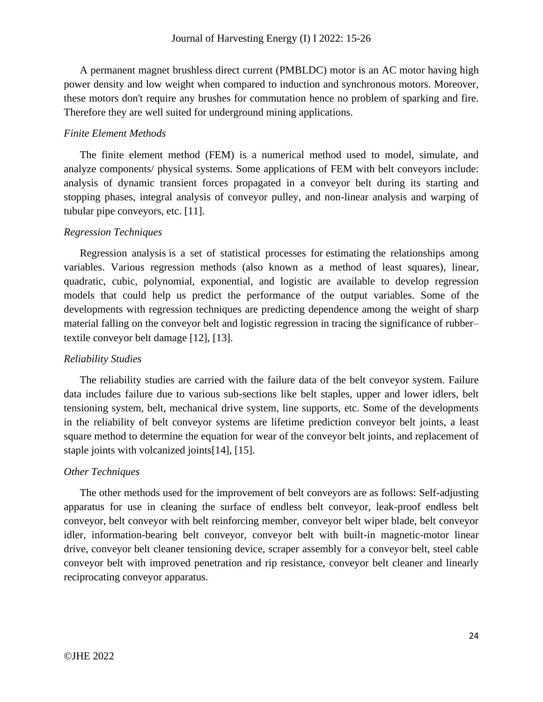A permanent magnet brushless direct current (PMBLDC) motor is an AC motor having high power density and low weight when compared to induction and synchronous motors. Moreover, these motors don't require any brushes for commutation hence no problem of sparking and fire. Therefore they are well suited for underground mining applications.

# *Finite Element Methods*

The finite element method (FEM) is a numerical method used to model, simulate, and analyze components/ physical systems. Some applications of FEM with belt conveyors include: analysis of dynamic transient forces propagated in a conveyor belt during its starting and stopping phases, integral analysis of conveyor pulley, and non-linear analysis and warping of tubular pipe conveyors, etc. [11].

# *Regression Techniques*

Regression analysis is a set of statistical processes for [estimating](https://en.wikipedia.org/wiki/Estimation_theory) the relationships among variables. Various regression methods (also known as a method of least squares), linear, quadratic, cubic, polynomial, exponential, and logistic are available to develop regression models that could help us predict the performance of the output variables. Some of the developments with regression techniques are predicting dependence among the weight of sharp material falling on the conveyor belt and logistic regression in tracing the significance of rubber– textile conveyor belt damage [12], [13].

# *Reliability Studies*

The reliability studies are carried with the failure data of the belt conveyor system. Failure data includes failure due to various sub-sections like belt staples, upper and lower idlers, belt tensioning system, belt, mechanical drive system, line supports, etc. Some of the developments in the reliability of belt conveyor systems are lifetime prediction conveyor belt joints, a least square method to determine the equation for wear of the conveyor belt joints, and replacement of staple joints with volcanized joints[14], [15].

# *Other Techniques*

The other methods used for the improvement of belt conveyors are as follows: Self-adjusting apparatus for use in cleaning the surface of endless belt conveyor, leak-proof endless belt conveyor, belt conveyor with belt reinforcing member, conveyor belt wiper blade, belt conveyor idler, information-bearing belt conveyor, conveyor belt with built-in magnetic-motor linear drive, conveyor belt cleaner tensioning device, scraper assembly for a conveyor belt, steel cable conveyor belt with improved penetration and rip resistance, conveyor belt cleaner and linearly reciprocating conveyor apparatus.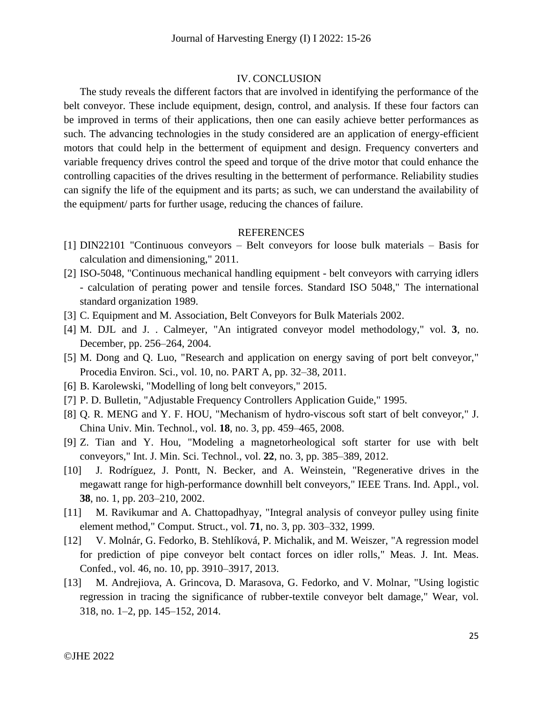#### IV. CONCLUSION

The study reveals the different factors that are involved in identifying the performance of the belt conveyor. These include equipment, design, control, and analysis. If these four factors can be improved in terms of their applications, then one can easily achieve better performances as such. The advancing technologies in the study considered are an application of energy-efficient motors that could help in the betterment of equipment and design. Frequency converters and variable frequency drives control the speed and torque of the drive motor that could enhance the controlling capacities of the drives resulting in the betterment of performance. Reliability studies can signify the life of the equipment and its parts; as such, we can understand the availability of the equipment/ parts for further usage, reducing the chances of failure.

#### REFERENCES

- [1] DIN22101 "Continuous conveyors Belt conveyors for loose bulk materials Basis for calculation and dimensioning," 2011.
- [2] ISO-5048, "Continuous mechanical handling equipment belt conveyors with carrying idlers - calculation of perating power and tensile forces. Standard ISO 5048," The international standard organization 1989.
- [3] C. Equipment and M. Association, Belt Conveyors for Bulk Materials 2002.
- [4] M. DJL and J. . Calmeyer, "An intigrated conveyor model methodology," vol. **3**, no. December, pp. 256–264, 2004.
- [5] M. Dong and Q. Luo, "Research and application on energy saving of port belt conveyor," Procedia Environ. Sci., vol. 10, no. PART A, pp. 32–38, 2011.
- [6] B. Karolewski, "Modelling of long belt conveyors," 2015.
- [7] P. D. Bulletin, "Adjustable Frequency Controllers Application Guide," 1995.
- [8] Q. R. MENG and Y. F. HOU, "Mechanism of hydro-viscous soft start of belt conveyor," J. China Univ. Min. Technol., vol. **18**, no. 3, pp. 459–465, 2008.
- [9] Z. Tian and Y. Hou, "Modeling a magnetorheological soft starter for use with belt conveyors," Int. J. Min. Sci. Technol., vol. **22**, no. 3, pp. 385–389, 2012.
- [10] J. Rodríguez, J. Pontt, N. Becker, and A. Weinstein, "Regenerative drives in the megawatt range for high-performance downhill belt conveyors," IEEE Trans. Ind. Appl., vol. **38**, no. 1, pp. 203–210, 2002.
- [11] M. Ravikumar and A. Chattopadhyay, "Integral analysis of conveyor pulley using finite element method," Comput. Struct., vol. **71**, no. 3, pp. 303–332, 1999.
- [12] V. Molnár, G. Fedorko, B. Stehlíková, P. Michalik, and M. Weiszer, "A regression model for prediction of pipe conveyor belt contact forces on idler rolls," Meas. J. Int. Meas. Confed., vol. 46, no. 10, pp. 3910–3917, 2013.
- [13] M. Andrejiova, A. Grincova, D. Marasova, G. Fedorko, and V. Molnar, "Using logistic regression in tracing the significance of rubber-textile conveyor belt damage," Wear, vol. 318, no. 1–2, pp. 145–152, 2014.